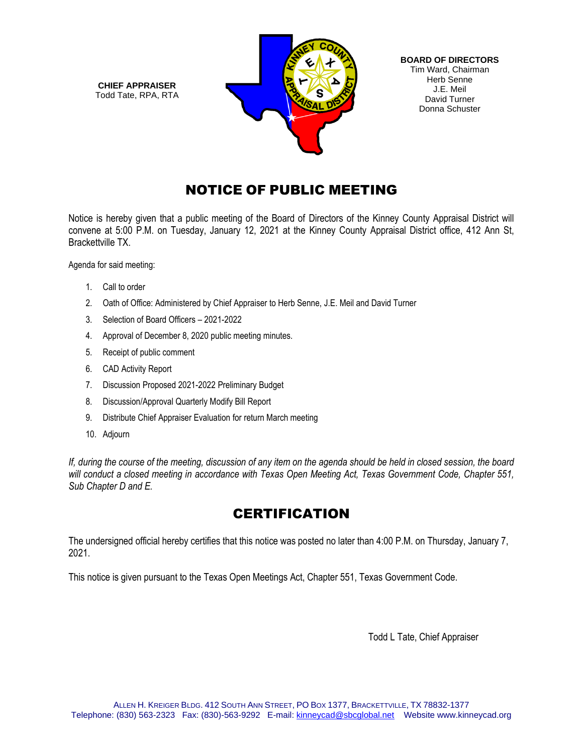**CHIEF APPRAISER** Todd Tate, RPA, RTA



**BOARD OF DIRECTORS** Tim Ward, Chairman Herb Senne J.E. Meil David Turner Donna Schuster

# NOTICE OF PUBLIC MEETING

Notice is hereby given that a public meeting of the Board of Directors of the Kinney County Appraisal District will convene at 5:00 P.M. on Tuesday, January 12, 2021 at the Kinney County Appraisal District office, 412 Ann St, Brackettville TX.

Agenda for said meeting:

- 1. Call to order
- 2. Oath of Office: Administered by Chief Appraiser to Herb Senne, J.E. Meil and David Turner
- 3. Selection of Board Officers 2021-2022
- 4. Approval of December 8, 2020 public meeting minutes.
- 5. Receipt of public comment
- 6. CAD Activity Report
- 7. Discussion Proposed 2021-2022 Preliminary Budget
- 8. Discussion/Approval Quarterly Modify Bill Report
- 9. Distribute Chief Appraiser Evaluation for return March meeting
- 10. Adjourn

*If, during the course of the meeting, discussion of any item on the agenda should be held in closed session, the board will conduct a closed meeting in accordance with Texas Open Meeting Act, Texas Government Code, Chapter 551, Sub Chapter D and E.* 

# **CERTIFICATION**

The undersigned official hereby certifies that this notice was posted no later than 4:00 P.M. on Thursday, January 7, 2021.

This notice is given pursuant to the Texas Open Meetings Act, Chapter 551, Texas Government Code.

Todd L Tate, Chief Appraiser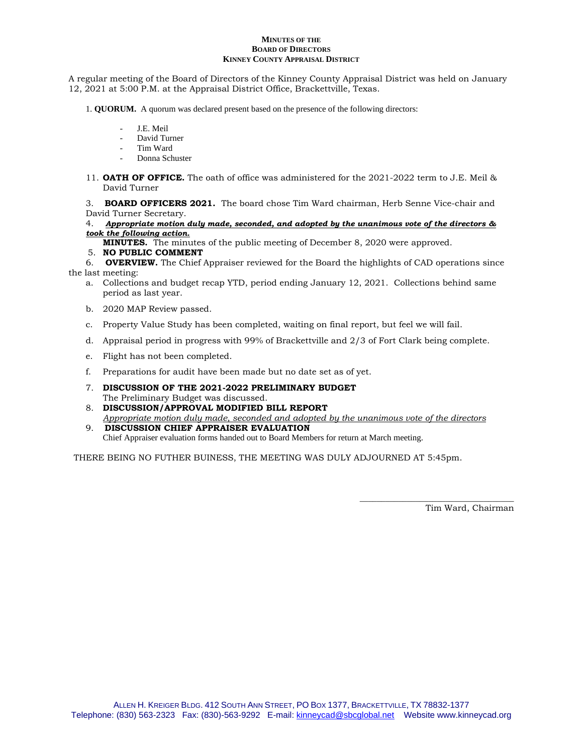### **MINUTES OF THE BOARD OF DIRECTORS KINNEY COUNTY APPRAISAL DISTRICT**

A regular meeting of the Board of Directors of the Kinney County Appraisal District was held on January 12, 2021 at 5:00 P.M. at the Appraisal District Office, Brackettville, Texas.

- 1. **QUORUM.** A quorum was declared present based on the presence of the following directors:
	- J.E. Meil
	- David Turner
	- Tim Ward
	- Donna Schuster
- 11. **OATH OF OFFICE.** The oath of office was administered for the 2021-2022 term to J.E. Meil & David Turner

3. **BOARD OFFICERS 2021.** The board chose Tim Ward chairman, Herb Senne Vice-chair and David Turner Secretary.

### 4.*Appropriate motion duly made, seconded, and adopted by the unanimous vote of the directors & took the following action.*

**MINUTES.** The minutes of the public meeting of December 8, 2020 were approved.

### 5. **NO PUBLIC COMMENT**

6. **OVERVIEW.** The Chief Appraiser reviewed for the Board the highlights of CAD operations since the last meeting:

- a. Collections and budget recap YTD, period ending January 12, 2021. Collections behind same period as last year.
- b. 2020 MAP Review passed.
- c. Property Value Study has been completed, waiting on final report, but feel we will fail.
- d. Appraisal period in progress with 99% of Brackettville and 2/3 of Fort Clark being complete.
- e. Flight has not been completed.
- f. Preparations for audit have been made but no date set as of yet.
- 7. **DISCUSSION OF THE 2021-2022 PRELIMINARY BUDGET** The Preliminary Budget was discussed.
- 8. **DISCUSSION/APPROVAL MODIFIED BILL REPORT** *Appropriate motion duly made, seconded and adopted by the unanimous vote of the directors* 9. **DISCUSSION CHIEF APPRAISER EVALUATION**
- Chief Appraiser evaluation forms handed out to Board Members for return at March meeting.

THERE BEING NO FUTHER BUINESS, THE MEETING WAS DULY ADJOURNED AT 5:45pm.

Tim Ward, Chairman

\_\_\_\_\_\_\_\_\_\_\_\_\_\_\_\_\_\_\_\_\_\_\_\_\_\_\_\_\_\_\_\_\_\_\_\_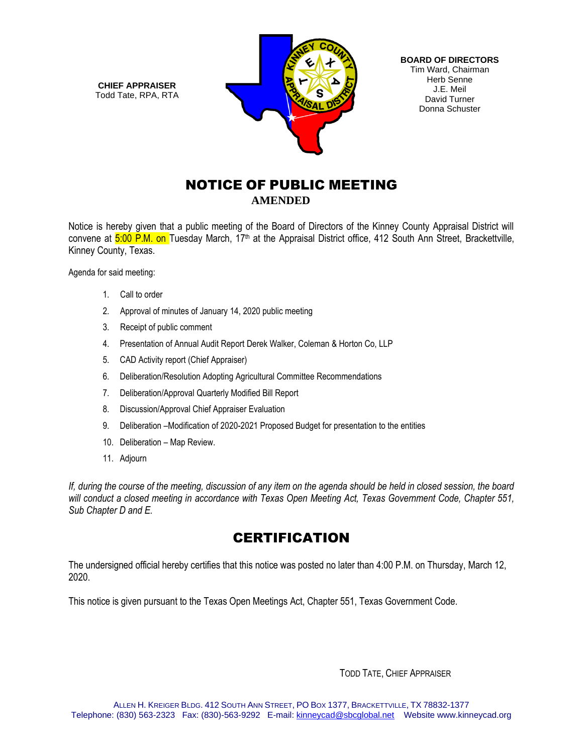**CHIEF APPRAISER** Todd Tate, RPA, RTA



**BOARD OF DIRECTORS** Tim Ward, Chairman Herb Senne J.E. Meil David Turner Donna Schuster

## NOTICE OF PUBLIC MEETING  **AMENDED**

Notice is hereby given that a public meeting of the Board of Directors of the Kinney County Appraisal District will convene at 5:00 P.M. on Tuesday March, 17<sup>th</sup> at the Appraisal District office, 412 South Ann Street, Brackettville, Kinney County, Texas.

Agenda for said meeting:

- 1. Call to order
- 2. Approval of minutes of January 14, 2020 public meeting
- 3. Receipt of public comment
- 4. Presentation of Annual Audit Report Derek Walker, Coleman & Horton Co, LLP
- 5. CAD Activity report (Chief Appraiser)
- 6. Deliberation/Resolution Adopting Agricultural Committee Recommendations
- 7. Deliberation/Approval Quarterly Modified Bill Report
- 8. Discussion/Approval Chief Appraiser Evaluation
- 9. Deliberation –Modification of 2020-2021 Proposed Budget for presentation to the entities
- 10. Deliberation Map Review.
- 11. Adjourn

*If, during the course of the meeting, discussion of any item on the agenda should be held in closed session, the board will conduct a closed meeting in accordance with Texas Open Meeting Act, Texas Government Code, Chapter 551, Sub Chapter D and E.* 

# **CERTIFICATION**

The undersigned official hereby certifies that this notice was posted no later than 4:00 P.M. on Thursday, March 12, 2020.

This notice is given pursuant to the Texas Open Meetings Act, Chapter 551, Texas Government Code.

TODD TATE, CHIEF APPRAISER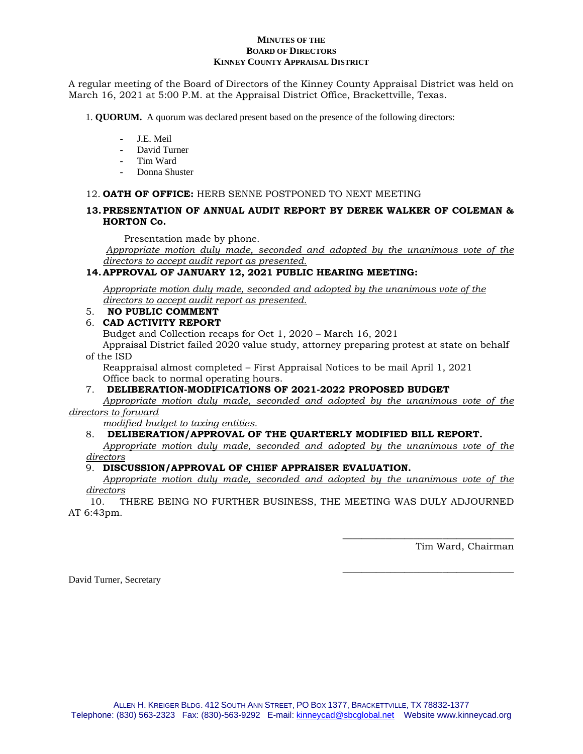### **MINUTES OF THE BOARD OF DIRECTORS KINNEY COUNTY APPRAISAL DISTRICT**

A regular meeting of the Board of Directors of the Kinney County Appraisal District was held on March 16, 2021 at 5:00 P.M. at the Appraisal District Office, Brackettville, Texas.

1. **QUORUM.** A quorum was declared present based on the presence of the following directors:

- J.E. Meil
- David Turner
- Tim Ward
- Donna Shuster

## 12. **OATH OF OFFICE:** HERB SENNE POSTPONED TO NEXT MEETING

## **13.PRESENTATION OF ANNUAL AUDIT REPORT BY DEREK WALKER OF COLEMAN & HORTON Co.**

Presentation made by phone.

*Appropriate motion duly made, seconded and adopted by the unanimous vote of the directors to accept audit report as presented.*

## **14.APPROVAL OF JANUARY 12, 2021 PUBLIC HEARING MEETING:**

*Appropriate motion duly made, seconded and adopted by the unanimous vote of the directors to accept audit report as presented.*

## 5. **NO PUBLIC COMMENT**

## 6. **CAD ACTIVITY REPORT**

Budget and Collection recaps for Oct 1, 2020 – March 16, 2021

Appraisal District failed 2020 value study, attorney preparing protest at state on behalf of the ISD

Reappraisal almost completed – First Appraisal Notices to be mail April 1, 2021 Office back to normal operating hours.

## 7. **DELIBERATION-MODIFICATIONS OF 2021-2022 PROPOSED BUDGET**

*Appropriate motion duly made, seconded and adopted by the unanimous vote of the directors to forward*

*modified budget to taxing entities.*

## 8. **DELIBERATION/APPROVAL OF THE QUARTERLY MODIFIED BILL REPORT.**

*Appropriate motion duly made, seconded and adopted by the unanimous vote of the directors*

## 9. **DISCUSSION/APPROVAL OF CHIEF APPRAISER EVALUATION.**

*Appropriate motion duly made, seconded and adopted by the unanimous vote of the directors*

 10. THERE BEING NO FURTHER BUSINESS, THE MEETING WAS DULY ADJOURNED AT 6:43pm.

Tim Ward, Chairman

\_\_\_\_\_\_\_\_\_\_\_\_\_\_\_\_\_\_\_\_\_\_\_\_\_\_\_\_\_\_\_\_\_\_\_\_

\_\_\_\_\_\_\_\_\_\_\_\_\_\_\_\_\_\_\_\_\_\_\_\_\_\_\_\_\_\_\_\_\_\_\_\_

David Turner, Secretary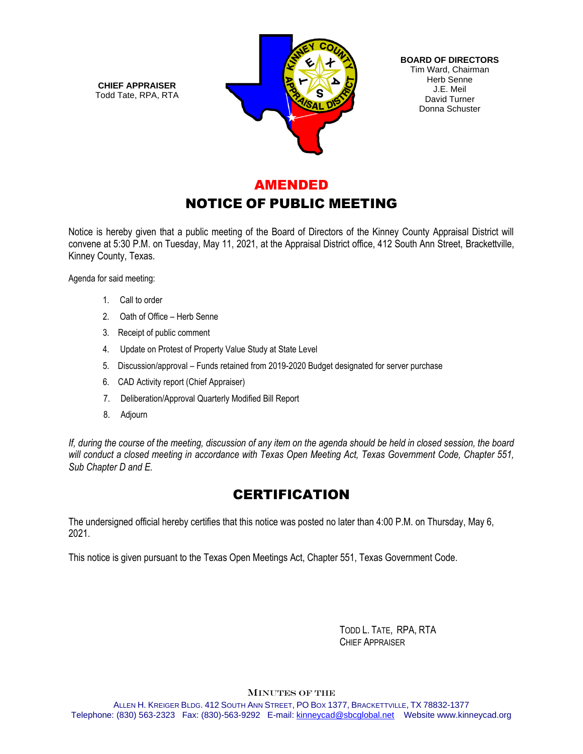**CHIEF APPRAISER** Todd Tate, RPA, RTA



**BOARD OF DIRECTORS** Tim Ward, Chairman Herb Senne J.E. Meil David Turner Donna Schuster

## AMENDED

# NOTICE OF PUBLIC MEETING

Notice is hereby given that a public meeting of the Board of Directors of the Kinney County Appraisal District will convene at 5:30 P.M. on Tuesday, May 11, 2021, at the Appraisal District office, 412 South Ann Street, Brackettville, Kinney County, Texas.

Agenda for said meeting:

- 1. Call to order
- 2. Oath of Office Herb Senne
- 3. Receipt of public comment
- 4. Update on Protest of Property Value Study at State Level
- 5. Discussion/approval Funds retained from 2019-2020 Budget designated for server purchase
- 6. CAD Activity report (Chief Appraiser)
- 7. Deliberation/Approval Quarterly Modified Bill Report
- 8. Adjourn

*If, during the course of the meeting, discussion of any item on the agenda should be held in closed session, the board will conduct a closed meeting in accordance with Texas Open Meeting Act, Texas Government Code, Chapter 551, Sub Chapter D and E.* 

## **CERTIFICATION**

The undersigned official hereby certifies that this notice was posted no later than 4:00 P.M. on Thursday, May 6, 2021.

This notice is given pursuant to the Texas Open Meetings Act, Chapter 551, Texas Government Code.

 TODD L. TATE, RPA, RTA CHIEF APPRAISER

MINUTES OF THE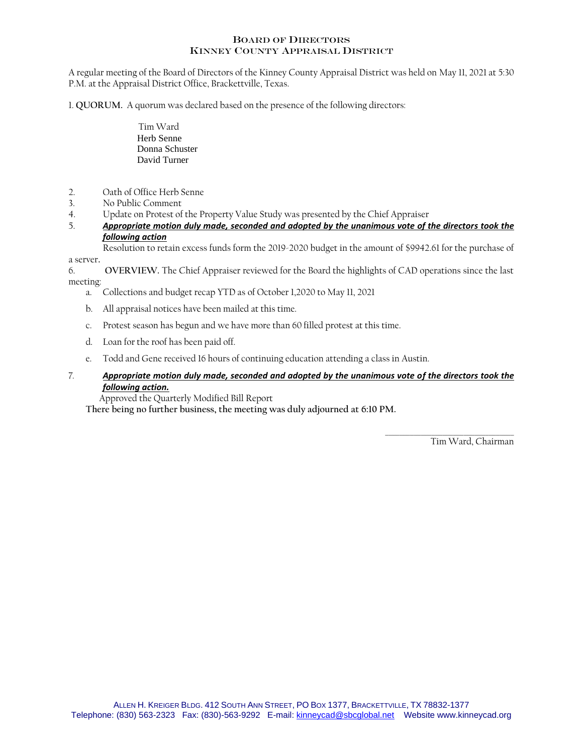## BOARD OF DIRECTORS KINNEY COUNTY APPRAISAL DISTRICT

A regular meeting of the Board of Directors of the Kinney County Appraisal District was held on May 11, 2021 at 5:30 P.M. at the Appraisal District Office, Brackettville, Texas.

1. **QUORUM.** A quorum was declared based on the presence of the following directors:

- Tim Ward Herb Senne Donna Schuster David Turner
- 2. Oath of Office Herb Senne
- 3. No Public Comment
- 4. Update on Protest of the Property Value Study was presented by the Chief Appraiser<br>5 **Appropriate motion duly made, seconded and adonted by the unanimous vote of t**
- 5. *Appropriate motion duly made, seconded and adopted by the unanimous vote of the directors took the following action*

Resolution to retain excess funds form the 2019-2020 budget in the amount of \$9942.61 for the purchase of a server.

6. **OVERVIEW.** The Chief Appraiser reviewed for the Board the highlights of CAD operations since the last meeting:

- a. Collections and budget recap YTD as of October 1,2020 to May 11, 2021
- b. All appraisal notices have been mailed at this time.
- c. Protest season has begun and we have more than 60 filled protest at this time.
- d. Loan for the roof has been paid off.
- e. Todd and Gene received 16 hours of continuing education attending a class in Austin.
- 7*. Appropriate motion duly made, seconded and adopted by the unanimous vote of the directors took the following action.*

Approved the Quarterly Modified Bill Report

 **There being no further business, the meeting was duly adjourned at 6:10 PM.**

 $\mathcal{L}_\text{max}$  and  $\mathcal{L}_\text{max}$  and  $\mathcal{L}_\text{max}$  and  $\mathcal{L}_\text{max}$ Tim Ward, Chairman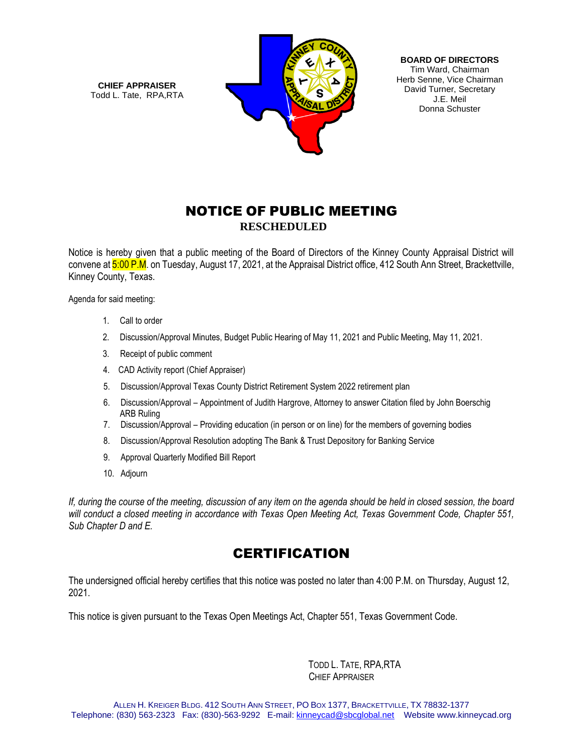**CHIEF APPRAISER** Todd L. Tate, RPA,RTA



**BOARD OF DIRECTORS** Tim Ward, Chairman Herb Senne, Vice Chairman David Turner, Secretary J.E. Meil Donna Schuster

# NOTICE OF PUBLIC MEETING **RESCHEDULED**

Notice is hereby given that a public meeting of the Board of Directors of the Kinney County Appraisal District will convene at 5:00 P.M. on Tuesday, August 17, 2021, at the Appraisal District office, 412 South Ann Street, Brackettville, Kinney County, Texas.

Agenda for said meeting:

- 1. Call to order
- 2. Discussion/Approval Minutes, Budget Public Hearing of May 11, 2021 and Public Meeting, May 11, 2021.
- 3. Receipt of public comment
- 4. CAD Activity report (Chief Appraiser)
- 5. Discussion/Approval Texas County District Retirement System 2022 retirement plan
- 6. Discussion/Approval Appointment of Judith Hargrove, Attorney to answer Citation filed by John Boerschig ARB Ruling
- 7. Discussion/Approval Providing education (in person or on line) for the members of governing bodies
- 8. Discussion/Approval Resolution adopting The Bank & Trust Depository for Banking Service
- 9. Approval Quarterly Modified Bill Report
- 10. Adjourn

*If, during the course of the meeting, discussion of any item on the agenda should be held in closed session, the board will conduct a closed meeting in accordance with Texas Open Meeting Act, Texas Government Code, Chapter 551, Sub Chapter D and E.* 

# **CERTIFICATION**

The undersigned official hereby certifies that this notice was posted no later than 4:00 P.M. on Thursday, August 12, 2021.

This notice is given pursuant to the Texas Open Meetings Act, Chapter 551, Texas Government Code.

TODD L. TATE, RPA,RTA CHIEF APPRAISER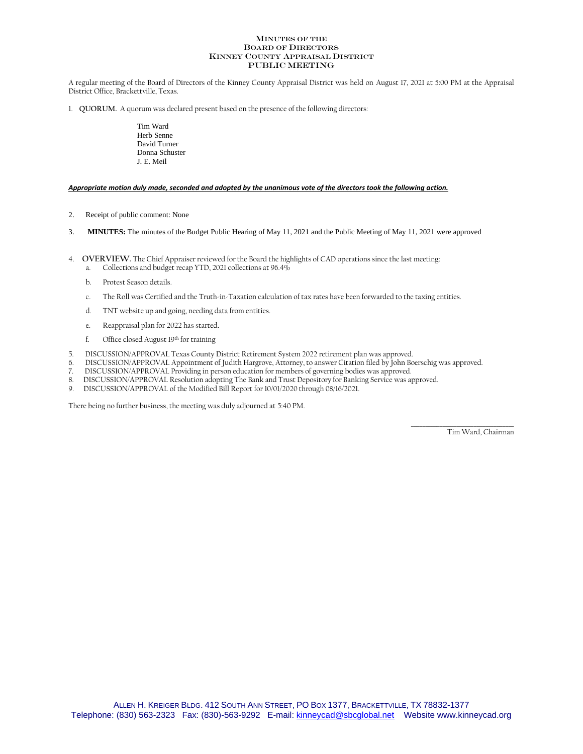#### MINUTES OF THE BOARD OF DIRECTORS KINNEY COUNTY APPRAISAL DISTRICT PUBLIC MEETING

A regular meeting of the Board of Directors of the Kinney County Appraisal District was held on August 17, 2021 at 5:00 PM at the Appraisal District Office, Brackettville, Texas.

1. **QUORUM.** A quorum was declared present based on the presence of the following directors:

Tim Ward Herb Senne David Turner Donna Schuster J. E. Meil

### *Appropriate motion duly made, seconded and adopted by the unanimous vote of the directors took the following action.*

- 2. Receipt of public comment: None
- 3. **MINUTES:** The minutes of the Budget Public Hearing of May 11, 2021 and the Public Meeting of May 11, 2021 were approved
- 4. **OVERVIEW.** The Chief Appraiser reviewed for the Board the highlights of CAD operations since the last meeting:
	- a. Collections and budget recap YTD, 2021 collections at 96.4%
	- b. Protest Season details.
	- c. The Roll was Certified and the Truth-in-Taxation calculation of tax rates have been forwarded to the taxing entities.
	- d. TNT website up and going, needing data from entities.
	- e. Reappraisal plan for 2022 has started.
	- f. Office closed August 19th for training
- 5. DISCUSSION/APPROVAL Texas County District Retirement System 2022 retirement plan was approved.
- 6. DISCUSSION/APPROVAL Appointment of Judith Hargrove, Attorney, to answer Citation filed by John Boerschig was approved.
- 7. DISCUSSION/APPROVAL Providing in person education for members of governing bodies was approved.
- 8. DISCUSSION/APPROVAL Resolution adopting The Bank and Trust Depository for Banking Service was approved.
- 9. DISCUSSION/APPROVAL of the Modified Bill Report for 10/01/2020 through 08/16/2021.

There being no further business, the meeting was duly adjourned at 5:40 PM.

\_\_\_\_\_\_\_\_\_\_\_\_\_\_\_\_\_\_\_\_\_\_\_\_\_\_\_\_\_\_\_\_\_\_\_\_ Tim Ward, Chairman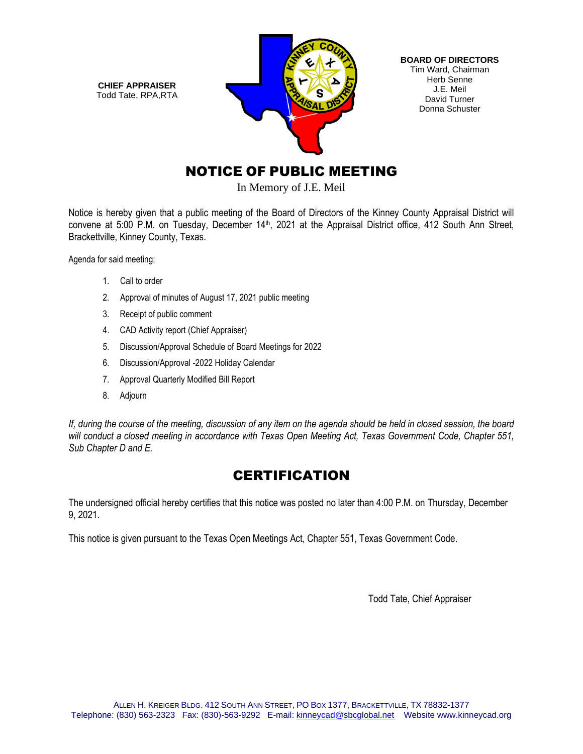**CHIEF APPRAISER** Todd Tate, RPA,RTA



**BOARD OF DIRECTORS** Tim Ward, Chairman Herb Senne J.E. Meil David Turner Donna Schuster

# NOTICE OF PUBLIC MEETING

In Memory of J.E. Meil

Notice is hereby given that a public meeting of the Board of Directors of the Kinney County Appraisal District will convene at 5:00 P.M. on Tuesday, December 14<sup>th</sup>, 2021 at the Appraisal District office, 412 South Ann Street, Brackettville, Kinney County, Texas.

Agenda for said meeting:

- 1. Call to order
- 2. Approval of minutes of August 17, 2021 public meeting
- 3. Receipt of public comment
- 4. CAD Activity report (Chief Appraiser)
- 5. Discussion/Approval Schedule of Board Meetings for 2022
- 6. Discussion/Approval -2022 Holiday Calendar
- 7. Approval Quarterly Modified Bill Report
- 8. Adjourn

*If, during the course of the meeting, discussion of any item on the agenda should be held in closed session, the board will conduct a closed meeting in accordance with Texas Open Meeting Act, Texas Government Code, Chapter 551, Sub Chapter D and E.* 

# **CERTIFICATION**

The undersigned official hereby certifies that this notice was posted no later than 4:00 P.M. on Thursday, December 9, 2021.

This notice is given pursuant to the Texas Open Meetings Act, Chapter 551, Texas Government Code.

Todd Tate, Chief Appraiser